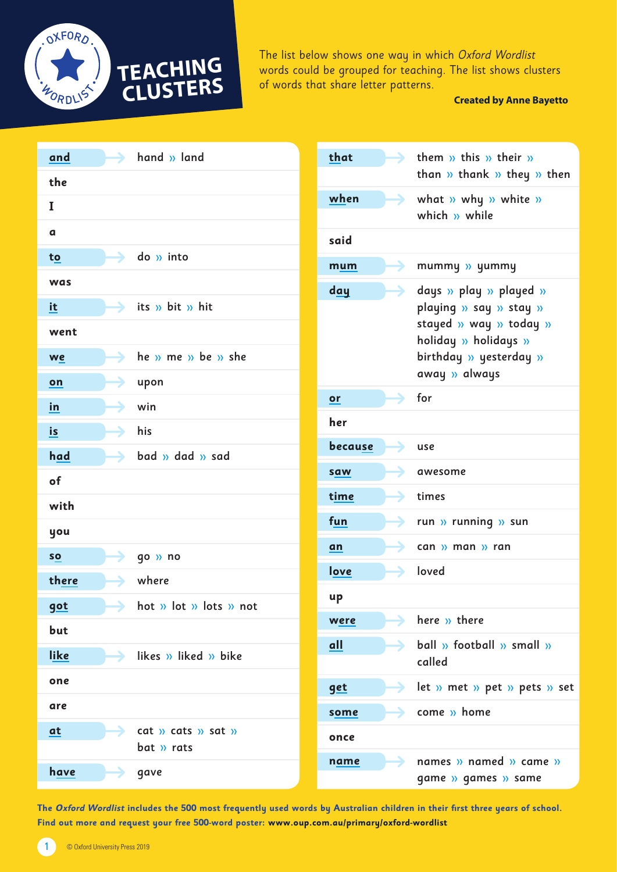

The list below shows one way in which Oxford Wordlist words could be grouped for teaching. The list shows clusters of words that share letter patterns.

### **Created by Anne Bayetto**

| hand » land<br>and                                 | that<br>them $\gg$ this $\gg$ their $\gg$                                                      |
|----------------------------------------------------|------------------------------------------------------------------------------------------------|
| the                                                | than $\gg$ thank $\gg$ they $\gg$ then                                                         |
| I                                                  | when<br>$\rightarrow$<br>what » why » white »<br>which $w$ while                               |
| a                                                  | said                                                                                           |
| $\log$ $\theta$ into<br>to                         | mummy » yummy<br>mum                                                                           |
| was                                                | day<br>days » play » played »                                                                  |
| its » bit » hit<br>it                              | playing » say » stay »                                                                         |
| went                                               | stayed » way » today »<br>holiday » holidays »                                                 |
| he $v$ me $v$ be $v$ she<br>we                     | birthday » yesterday »                                                                         |
| upon<br>on                                         | away » always                                                                                  |
| win<br>in                                          | for<br>or                                                                                      |
| his<br>is                                          | her                                                                                            |
| had<br>bad » dad » sad                             | because<br>use                                                                                 |
| of                                                 | awesome<br>saw                                                                                 |
| with                                               | time<br>times                                                                                  |
| you                                                | fun<br>run » running » sun<br>→                                                                |
| qo » no<br>SO                                      | can » man » ran<br>an                                                                          |
| there<br>where                                     | love<br>loved                                                                                  |
| $\rightarrow$ hot » lot » lots » not<br><u>got</u> | up                                                                                             |
| but                                                | here » there<br>were                                                                           |
| like<br>$\rightarrow$ likes » liked » bike         | ball » football » small »<br>all<br>called                                                     |
| one                                                |                                                                                                |
| are                                                | $\rightarrow$ let » met » pet » pets » set<br>get                                              |
| cat $y$ cats $y$ sat $y$<br>at                     | come » home<br>some                                                                            |
| bat » rats                                         | once                                                                                           |
| have<br>gave                                       | names $\lambda$ named $\lambda$ came $\lambda$<br>$\rightarrow$<br>name<br>game » games » same |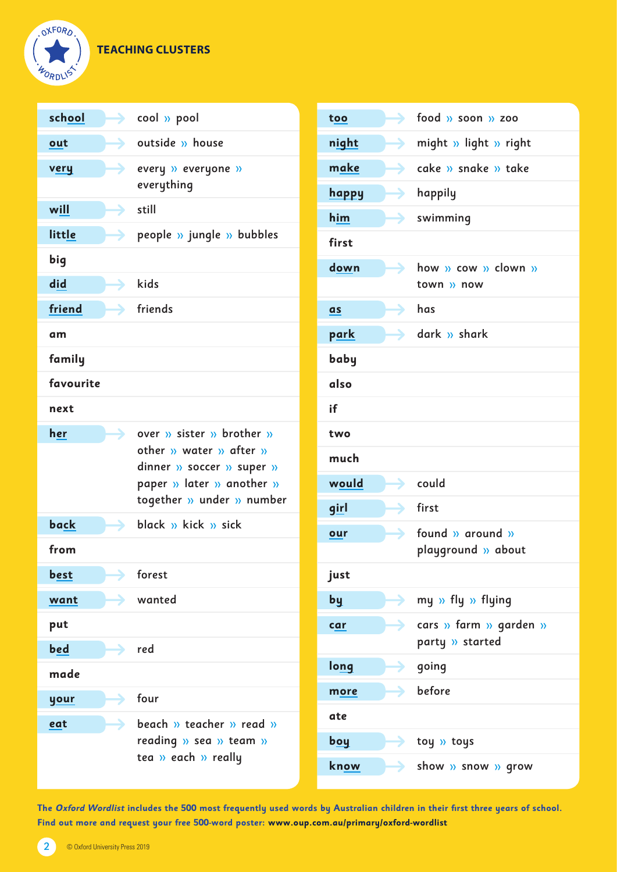# **TEACHING CLUSTERS**



| school    | $\blacktriangleright$ cool » pool                                                                                                           |
|-----------|---------------------------------------------------------------------------------------------------------------------------------------------|
| out       | $\rightarrow$ outside » house                                                                                                               |
| very      | every » everyone »<br>everything                                                                                                            |
| will      | $\rightarrow$ still                                                                                                                         |
| little    | $\rightarrow$ people » jungle » bubbles                                                                                                     |
| big       |                                                                                                                                             |
| did       | $\Rightarrow$ kids                                                                                                                          |
| friend    | $\rightarrow$ friends                                                                                                                       |
| am        |                                                                                                                                             |
| family    |                                                                                                                                             |
| favourite |                                                                                                                                             |
| next      |                                                                                                                                             |
| her       | over » sister » brother »<br>other » water » after »<br>dinner » soccer » super »<br>paper » later » another »<br>together » under » number |
| back      | $\rightarrow$ black » kick » sick                                                                                                           |
| from      |                                                                                                                                             |
| best      | forest                                                                                                                                      |
| want      | wanted                                                                                                                                      |
| put       |                                                                                                                                             |
| bed       | $\rightarrow$ red                                                                                                                           |
| made      |                                                                                                                                             |
| your      | four                                                                                                                                        |
| eat       | beach $\rightarrow$ teacher $\rightarrow$ read $\rightarrow$<br>reading » sea » team »<br>tea » each » really                               |

| too          |   | $\longrightarrow$ food $\n $ soon $\n $ zoo                   |
|--------------|---|---------------------------------------------------------------|
| night        |   | $\longrightarrow$ might » light » right                       |
| make         |   | $\bullet$ cake $\prime\prime$ snake $\prime\prime\prime$ take |
| <b>happy</b> |   | $\blacktriangleright$ happily                                 |
| him          |   | $\rightarrow$ swimming                                        |
| first        |   |                                                               |
| down         |   | $\rightarrow$ how » cow » clown »<br>town » now               |
| as           | → | has                                                           |
| park         |   | $\rightarrow$ dark » shark                                    |
| baby         |   |                                                               |
| also         |   |                                                               |
| if           |   |                                                               |
| two          |   |                                                               |
| much         |   |                                                               |
| would        |   | $\rightarrow$ could                                           |
| girl         |   | $\rightarrow$ first                                           |
| our          |   | $\rightarrow$ found » around »<br>playground » about          |
| just         |   |                                                               |
| by           |   | > my » fly » flying                                           |
| car          |   | <b>a</b> cars » farm » garden »<br>party » started            |
| long         |   | $\rightarrow$ going                                           |
| more         |   | $\rightarrow$ before                                          |
| ate          |   |                                                               |
| <u>boy</u>   |   | toy » toys                                                    |
| know         |   | $\blacktriangleright$ show » snow » grow                      |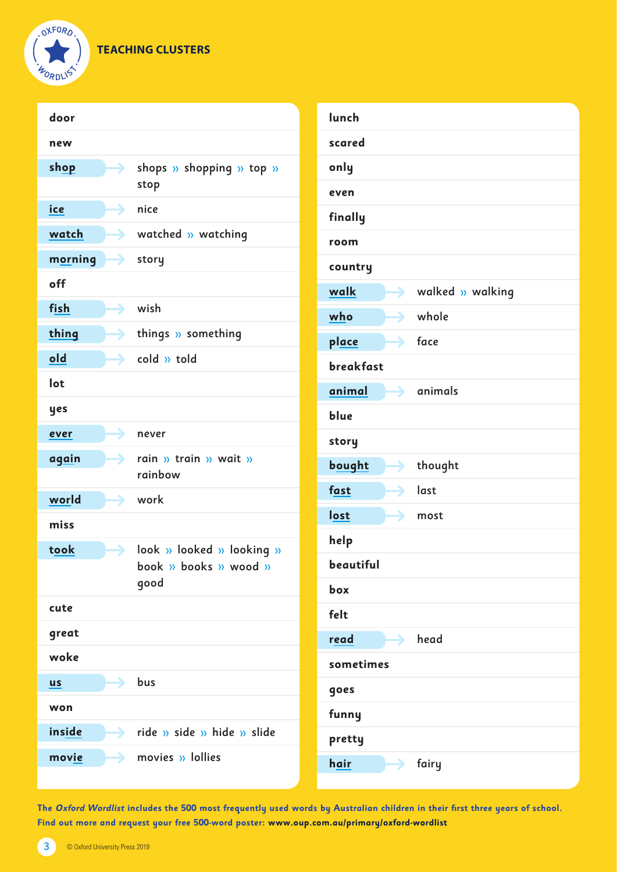**TEACHING CLUSTERS**



| door      |                                                          | lun  |
|-----------|----------------------------------------------------------|------|
| new       |                                                          | scal |
| shop      | Shops $\lambda$ shopping $\lambda$ top $\lambda$<br>stop | onl  |
| ice       | →<br>nice                                                | eve  |
| watch     | $\rightarrow$ watched » watching                         | finc |
| morning   | $\rightarrow$ story                                      | roo  |
| off       |                                                          | cou  |
| fish      | wish                                                     | wal  |
|           | →                                                        | who  |
| thing     | $\blacktriangleright$ things » something                 | pla  |
| old       | $\rightarrow$ cold » told                                | bre  |
| lot       |                                                          | ani  |
| yes       |                                                          | blu  |
| ever      | →<br>never                                               | sto  |
| again     | $\rightarrow$ rain » train » wait »<br>rainbow           | bou  |
| world     | $\rightarrow$ work                                       | fast |
| miss      |                                                          | lost |
| took      | $\rightarrow$ look » looked » looking »                  | helj |
|           | book $\lambda$ books $\lambda$ wood $\lambda$            | bea  |
|           | good                                                     | box  |
| cute      |                                                          | felt |
| great     |                                                          | rea  |
| woke      |                                                          | som  |
| <u>us</u> | $\rightarrow$ bus                                        | goe  |
| won       |                                                          | fun  |
| inside    | $\rightarrow$ ride » side » hide » slide                 | pret |
| movie     | $\rightarrow$ movies $\nu$ lollies                       | hai  |
|           |                                                          |      |

| lunch                         |                                |
|-------------------------------|--------------------------------|
| scared                        |                                |
| only                          |                                |
| even                          |                                |
| finally                       |                                |
| room                          |                                |
| country                       |                                |
| walk                          | $\rightarrow$ walked » walking |
| who                           | $\rightarrow$ whole            |
| place                         | $\rightarrow$ face             |
| <b>breakfast</b>              |                                |
| animal                        | $\rightarrow$ animals          |
| blue                          |                                |
| story                         |                                |
| bought<br>→                   | thought                        |
| $\blacktriangleright$<br>fast | last                           |
| $\blacktriangleright$<br>lost | most                           |
| help                          |                                |
| beautiful                     |                                |
| box                           |                                |
| felt                          |                                |
| read<br>÷.                    | head                           |
| sometimes                     |                                |
| goes                          |                                |
| funny                         |                                |
| pretty                        |                                |
| hair<br>→                     | fairy                          |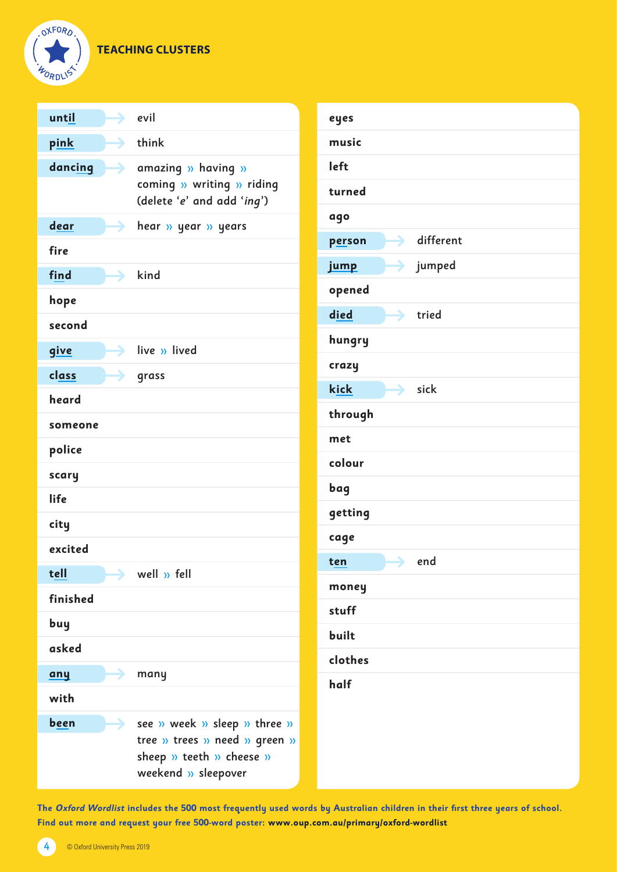# **TEACHING CLUSTERS**



| until       |               | $\rightarrow$ evil                                                                                               |
|-------------|---------------|------------------------------------------------------------------------------------------------------------------|
| pink        |               | $\rightarrow$ think                                                                                              |
| dancing     | $\rightarrow$ | amazing » having »<br>coming » writing » riding<br>(delete 'e' and add 'ing')                                    |
| dear        |               | <b>S</b> hear $\lambda$ year $\lambda$ years                                                                     |
| fire        |               |                                                                                                                  |
| find        |               | $\rightarrow$ kind                                                                                               |
| hope        |               |                                                                                                                  |
| second      |               |                                                                                                                  |
| <u>give</u> |               | $\rightarrow$ live » lived                                                                                       |
| class       |               | $\rightarrow$ grass                                                                                              |
| heard       |               |                                                                                                                  |
| someone     |               |                                                                                                                  |
| police      |               |                                                                                                                  |
| scary       |               |                                                                                                                  |
| life        |               |                                                                                                                  |
| city        |               |                                                                                                                  |
| excited     |               |                                                                                                                  |
| tell        |               | well » fell                                                                                                      |
| finished    |               |                                                                                                                  |
| buy         |               |                                                                                                                  |
| asked       |               |                                                                                                                  |
| any         |               | many                                                                                                             |
| with        |               |                                                                                                                  |
| been        |               | see » week » sleep » three »<br>tree » trees » need » green »<br>sheep » teeth » cheese »<br>weekend » sleepover |

| eyes             |                         |
|------------------|-------------------------|
| music            |                         |
| left             |                         |
| turned           |                         |
| ago              |                         |
| person           | $\rightarrow$ different |
| jump             | $\rightarrow$ jumped    |
| opened           |                         |
| died             | $\rightarrow$ tried     |
| hungry           |                         |
| crazy            |                         |
| kick             | $\rightarrow$ sick      |
| through          |                         |
| met              |                         |
| colour           |                         |
| bag              |                         |
| getting          |                         |
| cage             |                         |
| $\mapsto$<br>ten | end                     |
| money            |                         |
| stuff            |                         |
| built            |                         |
| clothes          |                         |
| half             |                         |